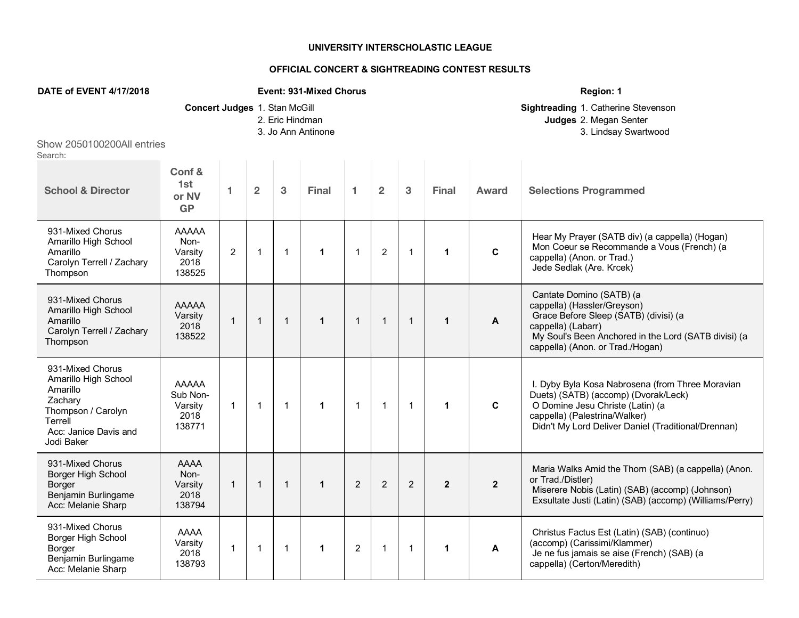## **UNIVERSITY INTERSCHOLASTIC LEAGUE**

## **OFFICIAL CONCERT & SIGHTREADING CONTEST RESULTS**

| DATE of EVENT 4/17/2018<br>Show 2050100200All entries                                                                                   | Concert Judges 1. Stan McGill                         |                |                | 2. Eric Hindman | <b>Event: 931-Mixed Chorus</b><br>3. Jo Ann Antinone |                |                |              |                | Region: 1<br>Sightreading 1. Catherine Stevenson<br>Judges 2. Megan Senter<br>3. Lindsay Swartwood |                                                                                                                                                                                                                      |
|-----------------------------------------------------------------------------------------------------------------------------------------|-------------------------------------------------------|----------------|----------------|-----------------|------------------------------------------------------|----------------|----------------|--------------|----------------|----------------------------------------------------------------------------------------------------|----------------------------------------------------------------------------------------------------------------------------------------------------------------------------------------------------------------------|
| Search:                                                                                                                                 | Conf &                                                |                |                |                 |                                                      |                |                |              |                |                                                                                                    |                                                                                                                                                                                                                      |
| <b>School &amp; Director</b>                                                                                                            | 1st<br>or NV<br>GP                                    | 1              | $\overline{2}$ | 3               | <b>Final</b>                                         | $\mathbf{1}$   | $\overline{2}$ | 3            | <b>Final</b>   | <b>Award</b>                                                                                       | <b>Selections Programmed</b>                                                                                                                                                                                         |
| 931-Mixed Chorus<br>Amarillo High School<br>Amarillo<br>Carolyn Terrell / Zachary<br>Thompson                                           | AAAAA<br>Non-<br>Varsity<br>2018<br>138525            | $\overline{2}$ | $\mathbf 1$    | $\overline{1}$  | $\mathbf{1}$                                         | $\mathbf{1}$   | $\overline{2}$ | $\mathbf{1}$ | $\mathbf{1}$   | $\mathbf c$                                                                                        | Hear My Prayer (SATB div) (a cappella) (Hogan)<br>Mon Coeur se Recommande a Vous (French) (a<br>cappella) (Anon. or Trad.)<br>Jede Sedlak (Are. Krcek)                                                               |
| 931-Mixed Chorus<br>Amarillo High School<br>Amarillo<br>Carolyn Terrell / Zachary<br>Thompson                                           | <b>AAAAA</b><br>Varsity<br>2018<br>138522             | $\mathbf{1}$   | $\mathbf 1$    | $\overline{1}$  | 1                                                    | $\mathbf{1}$   | $\mathbf{1}$   | $\mathbf{1}$ | $\mathbf{1}$   | A                                                                                                  | Cantate Domino (SATB) (a<br>cappella) (Hassler/Greyson)<br>Grace Before Sleep (SATB) (divisi) (a<br>cappella) (Labarr)<br>My Soul's Been Anchored in the Lord (SATB divisi) (a<br>cappella) (Anon. or Trad./Hogan)   |
| 931-Mixed Chorus<br>Amarillo High School<br>Amarillo<br>Zachary<br>Thompson / Carolyn<br>Terrell<br>Acc: Janice Davis and<br>Jodi Baker | <b>AAAAA</b><br>Sub Non-<br>Varsity<br>2018<br>138771 | $\mathbf{1}$   | $\mathbf{1}$   | $\overline{1}$  | $\blacktriangleleft$                                 | $\mathbf{1}$   | $\mathbf{1}$   | $\mathbf 1$  | $\mathbf{1}$   | C                                                                                                  | I. Dyby Byla Kosa Nabrosena (from Three Moravian<br>Duets) (SATB) (accomp) (Dvorak/Leck)<br>O Domine Jesu Christe (Latin) (a<br>cappella) (Palestrina/Walker)<br>Didn't My Lord Deliver Daniel (Traditional/Drennan) |
| 931-Mixed Chorus<br>Borger High School<br>Borger<br>Benjamin Burlingame<br>Acc: Melanie Sharp                                           | <b>AAAA</b><br>Non-<br>Varsity<br>2018<br>138794      | $\mathbf{1}$   | $\mathbf{1}$   | $\overline{1}$  | $\mathbf{1}$                                         | $\overline{2}$ | 2              | 2            | $\overline{2}$ | $\mathbf{2}$                                                                                       | Maria Walks Amid the Thorn (SAB) (a cappella) (Anon.<br>or Trad./Distler)<br>Miserere Nobis (Latin) (SAB) (accomp) (Johnson)<br>Exsultate Justi (Latin) (SAB) (accomp) (Williams/Perry)                              |
| 931-Mixed Chorus<br>Borger High School<br><b>Borger</b><br>Benjamin Burlingame<br>Acc: Melanie Sharp                                    | AAAA<br>Varsity<br>2018<br>138793                     | $\mathbf{1}$   | 1              | $\mathbf{1}$    | 1                                                    | $\overline{2}$ | $\mathbf{1}$   | 1            | $\mathbf{1}$   | A                                                                                                  | Christus Factus Est (Latin) (SAB) (continuo)<br>(accomp) (Carissimi/Klammer)<br>Je ne fus jamais se aise (French) (SAB) (a<br>cappella) (Certon/Meredith)                                                            |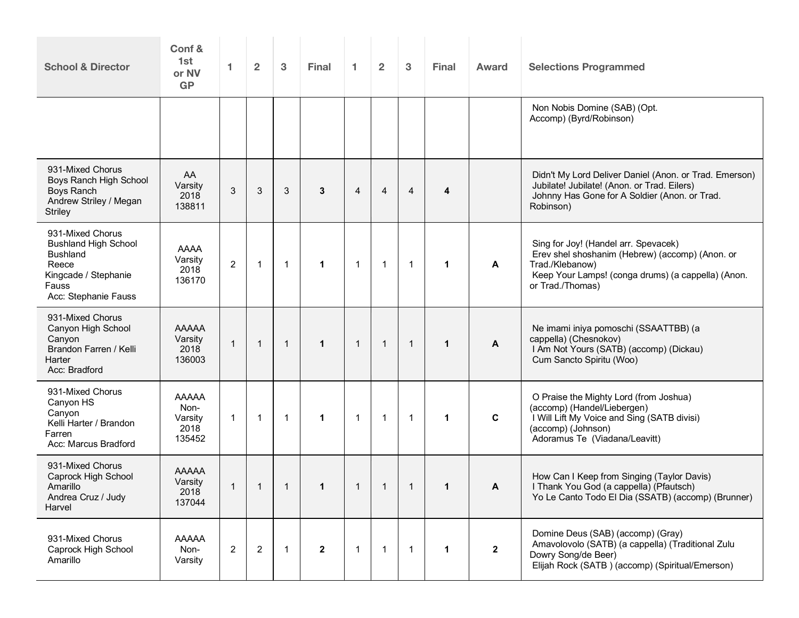| <b>School &amp; Director</b>                                                                                                         | Conf &<br>1st<br>or NV<br>GP                      | 1              | $\overline{2}$ | 3              | <b>Final</b> | 1            | $\overline{2}$ | 3              | <b>Final</b> | <b>Award</b> | <b>Selections Programmed</b>                                                                                                                                                         |
|--------------------------------------------------------------------------------------------------------------------------------------|---------------------------------------------------|----------------|----------------|----------------|--------------|--------------|----------------|----------------|--------------|--------------|--------------------------------------------------------------------------------------------------------------------------------------------------------------------------------------|
|                                                                                                                                      |                                                   |                |                |                |              |              |                |                |              |              | Non Nobis Domine (SAB) (Opt.<br>Accomp) (Byrd/Robinson)                                                                                                                              |
| 931-Mixed Chorus<br>Boys Ranch High School<br><b>Boys Ranch</b><br>Andrew Striley / Megan<br><b>Striley</b>                          | AA<br>Varsity<br>2018<br>138811                   | 3              | 3              | 3              | 3            | 4            | $\overline{4}$ | $\overline{4}$ | 4            |              | Didn't My Lord Deliver Daniel (Anon. or Trad. Emerson)<br>Jubilate! Jubilate! (Anon. or Trad. Eilers)<br>Johnny Has Gone for A Soldier (Anon. or Trad.<br>Robinson)                  |
| 931-Mixed Chorus<br><b>Bushland High School</b><br><b>Bushland</b><br>Reece<br>Kingcade / Stephanie<br>Fauss<br>Acc: Stephanie Fauss | <b>AAAA</b><br>Varsity<br>2018<br>136170          | $\overline{2}$ | $\mathbf 1$    | $\overline{1}$ | $\mathbf 1$  | $\mathbf{1}$ | $\mathbf 1$    | $\mathbf{1}$   | 1            | A            | Sing for Joy! (Handel arr. Spevacek)<br>Erev shel shoshanim (Hebrew) (accomp) (Anon. or<br>Trad./Klebanow)<br>Keep Your Lamps! (conga drums) (a cappella) (Anon.<br>or Trad./Thomas) |
| 931-Mixed Chorus<br>Canyon High School<br>Canyon<br>Brandon Farren / Kelli<br>Harter<br>Acc: Bradford                                | <b>AAAAA</b><br>Varsity<br>2018<br>136003         | $\mathbf{1}$   | $\mathbf 1$    | $\overline{1}$ | $\mathbf{1}$ | $\mathbf{1}$ | $\mathbf 1$    | $\mathbf 1$    | $\mathbf{1}$ | A            | Ne imami iniya pomoschi (SSAATTBB) (a<br>cappella) (Chesnokov)<br>I Am Not Yours (SATB) (accomp) (Dickau)<br>Cum Sancto Spiritu (Woo)                                                |
| 931-Mixed Chorus<br>Canyon HS<br>Canyon<br>Kelli Harter / Brandon<br>Farren<br>Acc: Marcus Bradford                                  | <b>AAAAA</b><br>Non-<br>Varsity<br>2018<br>135452 | $\mathbf{1}$   | $\mathbf{1}$   | $\overline{1}$ | $\mathbf{1}$ | $\mathbf{1}$ | $\mathbf 1$    | $\mathbf{1}$   | 1            | C            | O Praise the Mighty Lord (from Joshua)<br>(accomp) (Handel/Liebergen)<br>I Will Lift My Voice and Sing (SATB divisi)<br>(accomp) (Johnson)<br>Adoramus Te (Viadana/Leavitt)          |
| 931-Mixed Chorus<br>Caprock High School<br>Amarillo<br>Andrea Cruz / Judy<br>Harvel                                                  | AAAAA<br>Varsity<br>2018<br>137044                | $\mathbf{1}$   | $\mathbf{1}$   | $\overline{1}$ | 1            | $\mathbf{1}$ | $\mathbf{1}$   |                |              | A            | How Can I Keep from Singing (Taylor Davis)<br>I Thank You God (a cappella) (Pfautsch)<br>Yo Le Canto Todo El Dia (SSATB) (accomp) (Brunner)                                          |
| 931-Mixed Chorus<br>Caprock High School<br>Amarillo                                                                                  | <b>AAAAA</b><br>Non-<br>Varsity                   | $\overline{2}$ | $\overline{2}$ | $\mathbf{1}$   | $\mathbf{2}$ | $\mathbf{1}$ | -1             | $\mathbf{1}$   | $\mathbf{1}$ | $\mathbf{2}$ | Domine Deus (SAB) (accomp) (Gray)<br>Amavolovolo (SATB) (a cappella) (Traditional Zulu<br>Dowry Song/de Beer)<br>Elijah Rock (SATB) (accomp) (Spiritual/Emerson)                     |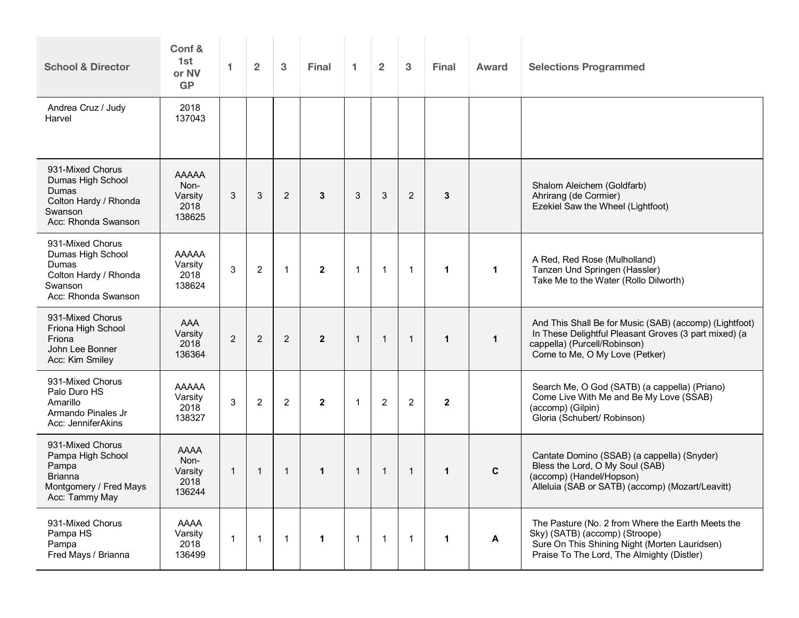| <b>School &amp; Director</b>                                                                                     | Conf &<br>1st<br>or NV<br>GP                      | $\mathbf{1}$   | $\overline{2}$ | 3              | <b>Final</b>   | 1              | $\overline{2}$ | 3              | <b>Final</b> | <b>Award</b> | <b>Selections Programmed</b>                                                                                                                                                       |
|------------------------------------------------------------------------------------------------------------------|---------------------------------------------------|----------------|----------------|----------------|----------------|----------------|----------------|----------------|--------------|--------------|------------------------------------------------------------------------------------------------------------------------------------------------------------------------------------|
| Andrea Cruz / Judy<br>Harvel                                                                                     | 2018<br>137043                                    |                |                |                |                |                |                |                |              |              |                                                                                                                                                                                    |
| 931-Mixed Chorus<br>Dumas High School<br><b>Dumas</b><br>Colton Hardy / Rhonda<br>Swanson<br>Acc: Rhonda Swanson | <b>AAAAA</b><br>Non-<br>Varsity<br>2018<br>138625 | 3              | 3              | $\overline{2}$ | 3              | 3              | 3              | 2              | 3            |              | Shalom Aleichem (Goldfarb)<br>Ahrirang (de Cormier)<br>Ezekiel Saw the Wheel (Lightfoot)                                                                                           |
| 931-Mixed Chorus<br>Dumas High School<br>Dumas<br>Colton Hardy / Rhonda<br>Swanson<br>Acc: Rhonda Swanson        | <b>AAAAA</b><br>Varsity<br>2018<br>138624         | 3              | $\overline{2}$ | $\mathbf{1}$   | $\mathbf{2}$   | $\mathbf{1}$   | $\mathbf{1}$   | $\mathbf{1}$   | 1            | $\mathbf{1}$ | A Red, Red Rose (Mulholland)<br>Tanzen Und Springen (Hassler)<br>Take Me to the Water (Rollo Dilworth)                                                                             |
| 931-Mixed Chorus<br>Friona High School<br>Friona<br>John Lee Bonner<br>Acc: Kim Smiley                           | AAA<br>Varsity<br>2018<br>136364                  | $\overline{2}$ | $\overline{2}$ | $\overline{2}$ | $\overline{2}$ | $\overline{1}$ | $\mathbf{1}$   | $\mathbf{1}$   | $\mathbf{1}$ | $\mathbf{1}$ | And This Shall Be for Music (SAB) (accomp) (Lightfoot)<br>In These Delightful Pleasant Groves (3 part mixed) (a<br>cappella) (Purcell/Robinson)<br>Come to Me, O My Love (Petker)  |
| 931-Mixed Chorus<br>Palo Duro HS<br>Amarillo<br>Armando Pinales Jr<br>Acc: JenniferAkins                         | <b>AAAAA</b><br>Varsity<br>2018<br>138327         | 3              | $\overline{2}$ | $\overline{2}$ | $\mathbf{2}$   | $\overline{1}$ | $\overline{2}$ | $\overline{2}$ | $\mathbf{2}$ |              | Search Me, O God (SATB) (a cappella) (Priano)<br>Come Live With Me and Be My Love (SSAB)<br>(accomp) (Gilpin)<br>Gloria (Schubert/ Robinson)                                       |
| 931-Mixed Chorus<br>Pampa High School<br>Pampa<br><b>Brianna</b><br>Montgomery / Fred Mays<br>Acc: Tammy May     | <b>AAAA</b><br>Non-<br>Varsity<br>2018<br>136244  | $\mathbf{1}$   | $\mathbf 1$    | $\mathbf{1}$   | $\mathbf{1}$   | $\overline{1}$ | -1             | $\mathbf{1}$   | $\mathbf 1$  | $\mathbf{C}$ | Cantate Domino (SSAB) (a cappella) (Snyder)<br>Bless the Lord, O My Soul (SAB)<br>(accomp) (Handel/Hopson)<br>Alleluia (SAB or SATB) (accomp) (Mozart/Leavitt)                     |
| 931-Mixed Chorus<br>Pampa HS<br>Pampa<br>Fred Mays / Brianna                                                     | AAAA<br>Varsity<br>2018<br>136499                 | $\mathbf{1}$   | $\mathbf 1$    | $\mathbf{1}$   | $\mathbf{1}$   | $\overline{1}$ | $\mathbf{1}$   | $\mathbf{1}$   | 1            | A            | The Pasture (No. 2 from Where the Earth Meets the<br>Sky) (SATB) (accomp) (Stroope)<br>Sure On This Shining Night (Morten Lauridsen)<br>Praise To The Lord, The Almighty (Distler) |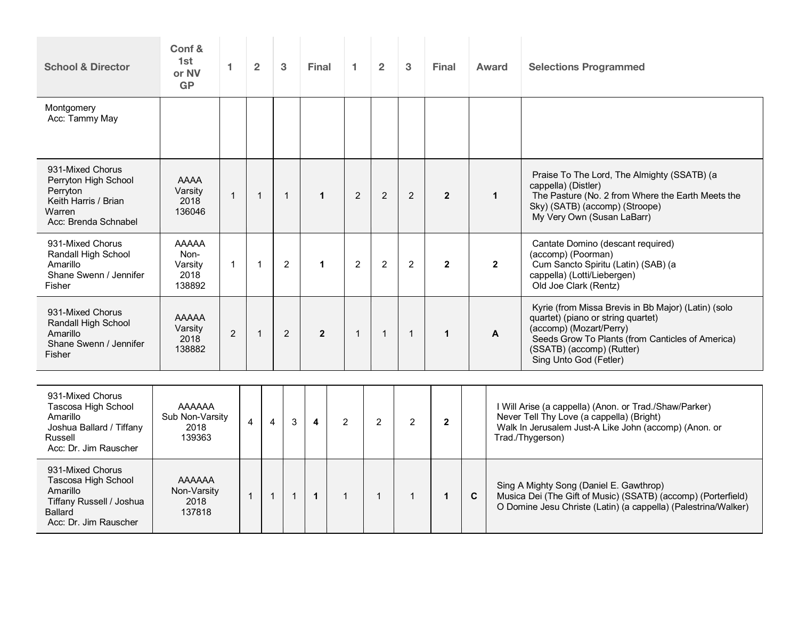| <b>School &amp; Director</b>                                                                                               | Conf &<br>1st<br>or NV<br>GP                       | 1.             | $\overline{2}$ |                | 3              | <b>Final</b>            | 1.             | $\overline{2}$ | 3              | <b>Final</b>   |             | Award          | <b>Selections Programmed</b>                                                                                                                                                                                                    |
|----------------------------------------------------------------------------------------------------------------------------|----------------------------------------------------|----------------|----------------|----------------|----------------|-------------------------|----------------|----------------|----------------|----------------|-------------|----------------|---------------------------------------------------------------------------------------------------------------------------------------------------------------------------------------------------------------------------------|
| Montgomery<br>Acc: Tammy May                                                                                               |                                                    |                |                |                |                |                         |                |                |                |                |             |                |                                                                                                                                                                                                                                 |
| 931-Mixed Chorus<br>Perryton High School<br>Perryton<br>Keith Harris / Brian<br>Warren<br>Acc: Brenda Schnabel             | <b>AAAA</b><br>Varsity<br>2018<br>136046           | $\overline{1}$ | $\overline{1}$ |                | $\overline{1}$ | $\mathbf 1$             | $\overline{2}$ | $\overline{2}$ | 2              | $\overline{2}$ |             | $\mathbf{1}$   | Praise To The Lord, The Almighty (SSATB) (a<br>cappella) (Distler)<br>The Pasture (No. 2 from Where the Earth Meets the<br>Sky) (SATB) (accomp) (Stroope)<br>My Very Own (Susan LaBarr)                                         |
| 931-Mixed Chorus<br>Randall High School<br>Amarillo<br>Shane Swenn / Jennifer<br>Fisher                                    | <b>AAAAA</b><br>Non-<br>Varsity<br>2018<br>138892  | $\overline{1}$ | $\mathbf 1$    |                | $\overline{2}$ | $\blacktriangleleft$    | $\overline{2}$ | $\overline{2}$ | $\overline{2}$ | $\overline{2}$ |             | $\overline{2}$ | Cantate Domino (descant required)<br>(accomp) (Poorman)<br>Cum Sancto Spiritu (Latin) (SAB) (a<br>cappella) (Lotti/Liebergen)<br>Old Joe Clark (Rentz)                                                                          |
| 931-Mixed Chorus<br>Randall High School<br>Amarillo<br>Shane Swenn / Jennifer<br><b>Fisher</b>                             | <b>AAAAA</b><br>Varsity<br>2018<br>138882          | 2              | $\mathbf{1}$   |                | $\overline{2}$ | $\overline{2}$          | $\mathbf{1}$   | $\overline{1}$ | $\mathbf{1}$   | $\mathbf{1}$   |             | A              | Kyrie (from Missa Brevis in Bb Major) (Latin) (solo<br>quartet) (piano or string quartet)<br>(accomp) (Mozart/Perry)<br>Seeds Grow To Plants (from Canticles of America)<br>(SSATB) (accomp) (Rutter)<br>Sing Unto God (Fetler) |
| 931-Mixed Chorus<br>Tascosa High School<br>Amarillo<br>Joshua Ballard / Tiffany<br>Russell<br>Acc: Dr. Jim Rauscher        | <b>AAAAAA</b><br>Sub Non-Varsity<br>2018<br>139363 |                | $\overline{4}$ | $\overline{4}$ | 3              | $\overline{\mathbf{4}}$ | $\overline{2}$ | $\overline{2}$ | $\overline{2}$ | $\mathbf{2}$   |             |                | I Will Arise (a cappella) (Anon. or Trad./Shaw/Parker)<br>Never Tell Thy Love (a cappella) (Bright)<br>Walk In Jerusalem Just-A Like John (accomp) (Anon. or<br>Trad./Thygerson)                                                |
| 931-Mixed Chorus<br>Tascosa High School<br>Amarillo<br>Tiffany Russell / Joshua<br><b>Ballard</b><br>Acc: Dr. Jim Rauscher | <b>AAAAAA</b><br>Non-Varsity<br>2018<br>137818     |                | 1              | $\mathbf{1}$   | $\mathbf{1}$   | $\mathbf{1}$            | $\mathbf{1}$   | $\mathbf{1}$   | $\mathbf{1}$   | $\mathbf{1}$   | $\mathbf c$ |                | Sing A Mighty Song (Daniel E. Gawthrop)<br>Musica Dei (The Gift of Music) (SSATB) (accomp) (Porterfield)<br>O Domine Jesu Christe (Latin) (a cappella) (Palestrina/Walker)                                                      |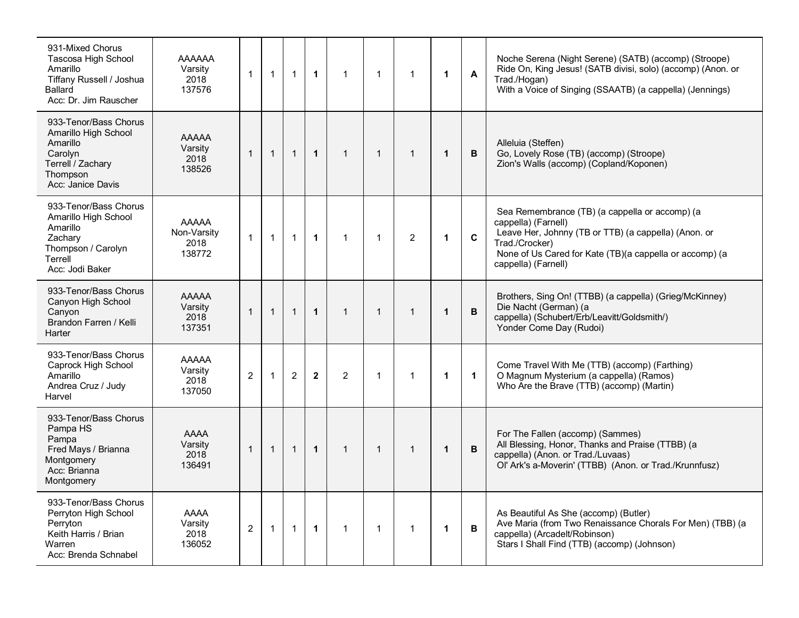| 931-Mixed Chorus<br>Tascosa High School<br>Amarillo<br>Tiffany Russell / Joshua<br>Ballard<br>Acc: Dr. Jim Rauscher        | <b>AAAAAA</b><br>Varsity<br>2018<br>137576    | $\mathbf{1}$   | $\mathbf{1}$ | $\mathbf{1}$ | $\mathbf{1}$ | $\mathbf{1}$   | $\mathbf{1}$ | $\mathbf{1}$   | $\blacktriangleleft$ | A            | Noche Serena (Night Serene) (SATB) (accomp) (Stroope)<br>Ride On, King Jesus! (SATB divisi, solo) (accomp) (Anon. or<br>Trad./Hogan)<br>With a Voice of Singing (SSAATB) (a cappella) (Jennings)                                  |
|----------------------------------------------------------------------------------------------------------------------------|-----------------------------------------------|----------------|--------------|--------------|--------------|----------------|--------------|----------------|----------------------|--------------|-----------------------------------------------------------------------------------------------------------------------------------------------------------------------------------------------------------------------------------|
| 933-Tenor/Bass Chorus<br>Amarillo High School<br>Amarillo<br>Carolyn<br>Terrell / Zachary<br>Thompson<br>Acc: Janice Davis | <b>AAAAA</b><br>Varsity<br>2018<br>138526     | $\mathbf{1}$   | $\mathbf{1}$ | $\mathbf{1}$ | $\mathbf{1}$ | $\mathbf{1}$   | $\mathbf{1}$ | $\mathbf{1}$   | $\mathbf{1}$         | B            | Alleluia (Steffen)<br>Go, Lovely Rose (TB) (accomp) (Stroope)<br>Zion's Walls (accomp) (Copland/Koponen)                                                                                                                          |
| 933-Tenor/Bass Chorus<br>Amarillo High School<br>Amarillo<br>Zachary<br>Thompson / Carolyn<br>Terrell<br>Acc: Jodi Baker   | <b>AAAAA</b><br>Non-Varsity<br>2018<br>138772 | $\mathbf{1}$   | $\mathbf{1}$ | $\mathbf{1}$ | $\mathbf 1$  | $\mathbf{1}$   | $\mathbf{1}$ | 2              | $\blacktriangleleft$ | $\mathbf c$  | Sea Remembrance (TB) (a cappella or accomp) (a<br>cappella) (Farnell)<br>Leave Her, Johnny (TB or TTB) (a cappella) (Anon. or<br>Trad./Crocker)<br>None of Us Cared for Kate (TB)(a cappella or accomp) (a<br>cappella) (Farnell) |
| 933-Tenor/Bass Chorus<br>Canyon High School<br>Canyon<br>Brandon Farren / Kelli<br><b>Harter</b>                           | AAAAA<br>Varsity<br>2018<br>137351            | $\mathbf{1}$   | $\mathbf{1}$ | $\mathbf{1}$ | $\mathbf{1}$ | $\overline{1}$ | $\mathbf{1}$ | $\overline{1}$ | $\mathbf{1}$         | B            | Brothers, Sing On! (TTBB) (a cappella) (Grieg/McKinney)<br>Die Nacht (German) (a<br>cappella) (Schubert/Erb/Leavitt/Goldsmith/)<br>Yonder Come Day (Rudoi)                                                                        |
| 933-Tenor/Bass Chorus<br>Caprock High School<br>Amarillo<br>Andrea Cruz / Judy<br>Harvel                                   | AAAAA<br>Varsity<br>2018<br>137050            | $\overline{2}$ | $\mathbf{1}$ | 2            | $\mathbf{2}$ | 2              | $\mathbf{1}$ | 1              | $\blacktriangleleft$ | $\mathbf{1}$ | Come Travel With Me (TTB) (accomp) (Farthing)<br>O Magnum Mysterium (a cappella) (Ramos)<br>Who Are the Brave (TTB) (accomp) (Martin)                                                                                             |
| 933-Tenor/Bass Chorus<br>Pampa HS<br>Pampa<br>Fred Mays / Brianna<br>Montgomery<br>Acc: Brianna<br>Montgomery              | <b>AAAA</b><br>Varsity<br>2018<br>136491      | $\mathbf{1}$   | $\mathbf{1}$ | $\mathbf{1}$ | $\mathbf{1}$ | $\mathbf{1}$   | $\mathbf{1}$ | $\mathbf{1}$   | $\mathbf{1}$         | B            | For The Fallen (accomp) (Sammes)<br>All Blessing, Honor, Thanks and Praise (TTBB) (a<br>cappella) (Anon. or Trad./Luvaas)<br>Ol' Ark's a-Moverin' (TTBB) (Anon. or Trad./Krunnfusz)                                               |
| 933-Tenor/Bass Chorus<br>Perryton High School<br>Perryton<br>Keith Harris / Brian<br>Warren<br>Acc: Brenda Schnabel        | <b>AAAA</b><br>Varsity<br>2018<br>136052      | $\overline{2}$ | $\mathbf{1}$ | $\mathbf{1}$ | $\mathbf{1}$ | $\mathbf{1}$   | $\mathbf{1}$ | $\mathbf{1}$   | $\blacktriangleleft$ | $\mathbf B$  | As Beautiful As She (accomp) (Butler)<br>Ave Maria (from Two Renaissance Chorals For Men) (TBB) (a<br>cappella) (Arcadelt/Robinson)<br>Stars I Shall Find (TTB) (accomp) (Johnson)                                                |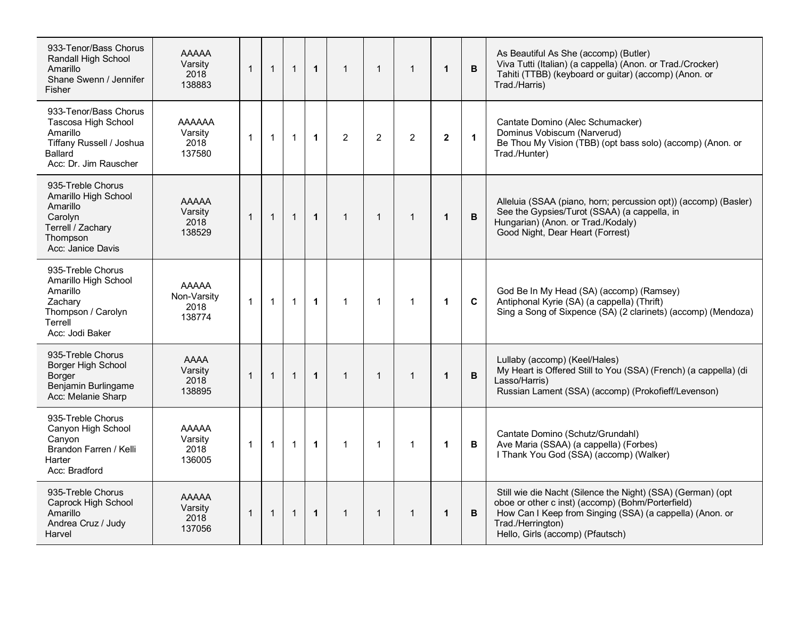| 933-Tenor/Bass Chorus<br>Randall High School<br>Amarillo<br>Shane Swenn / Jennifer<br>Fisher                                    | <b>AAAAA</b><br>Varsity<br>2018<br>138883 | $\mathbf{1}$ | $\mathbf{1}$   | $\mathbf{1}$ | $\mathbf{1}$         | $\mathbf{1}$ | $\mathbf{1}$   | $\mathbf 1$  | $\mathbf{1}$ | B            | As Beautiful As She (accomp) (Butler)<br>Viva Tutti (Italian) (a cappella) (Anon. or Trad./Crocker)<br>Tahiti (TTBB) (keyboard or guitar) (accomp) (Anon. or<br>Trad./Harris)                                                         |
|---------------------------------------------------------------------------------------------------------------------------------|-------------------------------------------|--------------|----------------|--------------|----------------------|--------------|----------------|--------------|--------------|--------------|---------------------------------------------------------------------------------------------------------------------------------------------------------------------------------------------------------------------------------------|
| 933-Tenor/Bass Chorus<br>Tascosa High School<br>Amarillo<br>Tiffany Russell / Joshua<br><b>Ballard</b><br>Acc: Dr. Jim Rauscher | AAAAAA<br>Varsity<br>2018<br>137580       | $\mathbf{1}$ | $\mathbf{1}$   | $\mathbf{1}$ | $\mathbf{1}$         | 2            | $\overline{2}$ | 2            | $\mathbf{2}$ | $\mathbf{1}$ | Cantate Domino (Alec Schumacker)<br>Dominus Vobiscum (Narverud)<br>Be Thou My Vision (TBB) (opt bass solo) (accomp) (Anon. or<br>Trad./Hunter)                                                                                        |
| 935-Treble Chorus<br>Amarillo High School<br>Amarillo<br>Carolyn<br>Terrell / Zachary<br>Thompson<br>Acc: Janice Davis          | <b>AAAAA</b><br>Varsity<br>2018<br>138529 | $\mathbf{1}$ | $\mathbf{1}$   | $\mathbf{1}$ | $\mathbf{1}$         | $\mathbf{1}$ | $\mathbf{1}$   | $\mathbf{1}$ | $\mathbf 1$  | В            | Alleluia (SSAA (piano, horn; percussion opt)) (accomp) (Basler)<br>See the Gypsies/Turot (SSAA) (a cappella, in<br>Hungarian) (Anon. or Trad./Kodaly)<br>Good Night, Dear Heart (Forrest)                                             |
| 935-Treble Chorus<br>Amarillo High School<br>Amarillo<br>Zachary<br>Thompson / Carolyn<br>Terrell<br>Acc: Jodi Baker            | AAAAA<br>Non-Varsity<br>2018<br>138774    | $\mathbf{1}$ | $\mathbf{1}$   | $\mathbf{1}$ | $\blacktriangleleft$ | $\mathbf{1}$ | $\mathbf{1}$   | $\mathbf{1}$ | 1            | C            | God Be In My Head (SA) (accomp) (Ramsey)<br>Antiphonal Kyrie (SA) (a cappella) (Thrift)<br>Sing a Song of Sixpence (SA) (2 clarinets) (accomp) (Mendoza)                                                                              |
| 935-Treble Chorus<br>Borger High School<br>Borger<br>Benjamin Burlingame<br>Acc: Melanie Sharp                                  | <b>AAAA</b><br>Varsity<br>2018<br>138895  | $\mathbf{1}$ | $\overline{1}$ | $\mathbf{1}$ | $\mathbf{1}$         | $\mathbf{1}$ | $\mathbf{1}$   | $\mathbf{1}$ | $\mathbf{1}$ | В            | Lullaby (accomp) (Keel/Hales)<br>My Heart is Offered Still to You (SSA) (French) (a cappella) (di<br>Lasso/Harris)<br>Russian Lament (SSA) (accomp) (Prokofieff/Levenson)                                                             |
| 935-Treble Chorus<br>Canyon High School<br>Canyon<br>Brandon Farren / Kelli<br>Harter<br>Acc: Bradford                          | <b>AAAAA</b><br>Varsity<br>2018<br>136005 | $\mathbf{1}$ | $\overline{1}$ | $\mathbf{1}$ | $\blacktriangleleft$ | $\mathbf{1}$ | $\mathbf{1}$   | $\mathbf{1}$ | 1            | B            | Cantate Domino (Schutz/Grundahl)<br>Ave Maria (SSAA) (a cappella) (Forbes)<br>I Thank You God (SSA) (accomp) (Walker)                                                                                                                 |
| 935-Treble Chorus<br>Caprock High School<br>Amarillo<br>Andrea Cruz / Judy<br>Harvel                                            | <b>AAAAA</b><br>Varsity<br>2018<br>137056 | $\mathbf{1}$ | $\mathbf{1}$   | $\mathbf{1}$ | $\mathbf{1}$         | $\mathbf{1}$ | $\mathbf{1}$   | $\mathbf 1$  | $\mathbf{1}$ | B            | Still wie die Nacht (Silence the Night) (SSA) (German) (opt<br>oboe or other c inst) (accomp) (Bohm/Porterfield)<br>How Can I Keep from Singing (SSA) (a cappella) (Anon. or<br>Trad./Herrington)<br>Hello, Girls (accomp) (Pfautsch) |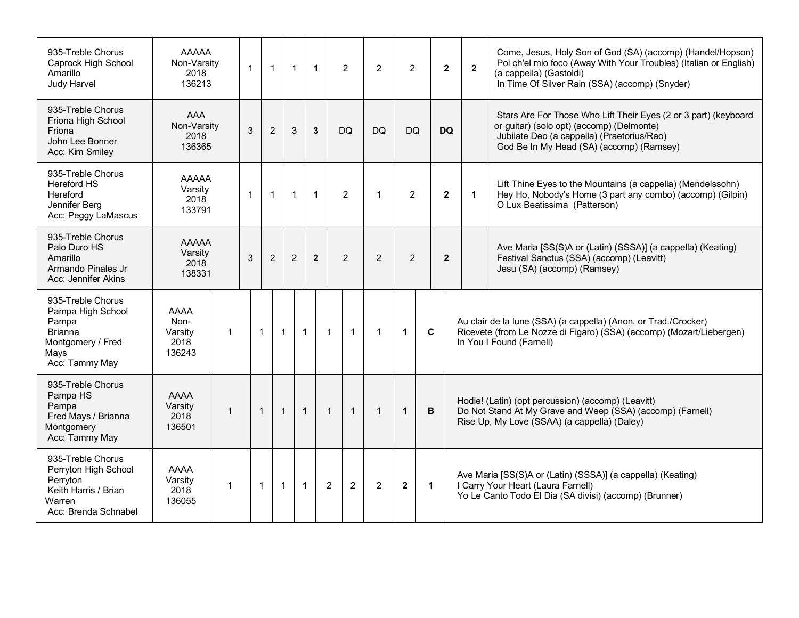| 935-Treble Chorus<br>Caprock High School<br>Amarillo<br>Judy Harvel                                              | <b>AAAAA</b><br>Non-Varsity<br>2018<br>136213    |                | $\mathbf{1}$ | $\mathbf{1}$   | $\mathbf{1}$   | $\mathbf{1}$   | $\overline{2}$                   | $\overline{2}$ | $\overline{2}$ |              | $\mathbf{2}$ | $\overline{2}$ | Come, Jesus, Holy Son of God (SA) (accomp) (Handel/Hopson)<br>Poi ch'el mio foco (Away With Your Troubles) (Italian or English)<br>(a cappella) (Gastoldi)<br>In Time Of Silver Rain (SSA) (accomp) (Snyder) |
|------------------------------------------------------------------------------------------------------------------|--------------------------------------------------|----------------|--------------|----------------|----------------|----------------|----------------------------------|----------------|----------------|--------------|--------------|----------------|--------------------------------------------------------------------------------------------------------------------------------------------------------------------------------------------------------------|
| 935-Treble Chorus<br>Friona High School<br>Friona<br>John Lee Bonner<br>Acc: Kim Smiley                          | AAA<br>Non-Varsity<br>2018<br>136365             |                | 3            | $\overline{2}$ | 3              | $\mathbf{3}$   | <b>DQ</b>                        | <b>DQ</b>      | <b>DQ</b>      |              | <b>DQ</b>    |                | Stars Are For Those Who Lift Their Eyes (2 or 3 part) (keyboard<br>or guitar) (solo opt) (accomp) (Delmonte)<br>Jubilate Deo (a cappella) (Praetorius/Rao)<br>God Be In My Head (SA) (accomp) (Ramsey)       |
| 935-Treble Chorus<br><b>Hereford HS</b><br>Hereford<br>Jennifer Bera<br>Acc: Peggy LaMascus                      | <b>AAAAA</b><br>Varsity<br>2018<br>133791        |                | $\mathbf{1}$ | $\mathbf{1}$   | $\mathbf 1$    | $\mathbf 1$    | 2                                | $\overline{1}$ | 2              |              | $\mathbf{2}$ | $\mathbf{1}$   | Lift Thine Eyes to the Mountains (a cappella) (Mendelssohn)<br>Hey Ho, Nobody's Home (3 part any combo) (accomp) (Gilpin)<br>O Lux Beatissima (Patterson)                                                    |
| 935-Treble Chorus<br>Palo Duro HS<br>Amarillo<br>Armando Pinales Jr<br>Acc: Jennifer Akins                       | <b>AAAAA</b><br>Varsity<br>2018<br>138331        |                | 3            | $\overline{2}$ | 2              | $\overline{2}$ | 2                                | 2              | 2              |              | $\mathbf{2}$ |                | Ave Maria [SS(S)A or (Latin) (SSSA)] (a cappella) (Keating)<br>Festival Sanctus (SSA) (accomp) (Leavitt)<br>Jesu (SA) (accomp) (Ramsey)                                                                      |
| 935-Treble Chorus<br>Pampa High School<br>Pampa<br><b>Brianna</b><br>Montgomery / Fred<br>Mays<br>Acc: Tammy May | <b>AAAA</b><br>Non-<br>Varsity<br>2018<br>136243 | $\mathbf{1}$   |              | $\mathbf{1}$   | $\overline{1}$ | $\mathbf 1$    | $\mathbf{1}$<br>$\mathbf{1}$     | $\mathbf{1}$   | $\mathbf{1}$   | $\mathbf c$  |              |                | Au clair de la lune (SSA) (a cappella) (Anon. or Trad./Crocker)<br>Ricevete (from Le Nozze di Figaro) (SSA) (accomp) (Mozart/Liebergen)<br>In You I Found (Farnell)                                          |
| 935-Treble Chorus<br>Pampa HS<br>Pampa<br>Fred Mays / Brianna<br>Montgomery<br>Acc: Tammy May                    | <b>AAAA</b><br>Varsity<br>2018<br>136501         | $\overline{1}$ |              | $\mathbf{1}$   | $\overline{1}$ | $\mathbf{1}$   | $\mathbf{1}$<br>$\mathbf{1}$     | $\overline{1}$ | $\mathbf{1}$   | B            |              |                | Hodie! (Latin) (opt percussion) (accomp) (Leavitt)<br>Do Not Stand At My Grave and Weep (SSA) (accomp) (Farnell)<br>Rise Up, My Love (SSAA) (a cappella) (Daley)                                             |
| 935-Treble Chorus<br>Perryton High School<br>Perryton<br>Keith Harris / Brian<br>Warren<br>Acc: Brenda Schnabel  | <b>AAAA</b><br>Varsity<br>2018<br>136055         | $\mathbf{1}$   |              | $\mathbf{1}$   | $\overline{1}$ | $\mathbf{1}$   | $\overline{2}$<br>$\overline{2}$ | $\overline{2}$ | $\mathbf{2}$   | $\mathbf{1}$ |              |                | Ave Maria [SS(S)A or (Latin) (SSSA)] (a cappella) (Keating)<br>I Carry Your Heart (Laura Farnell)<br>Yo Le Canto Todo El Dia (SA divisi) (accomp) (Brunner)                                                  |